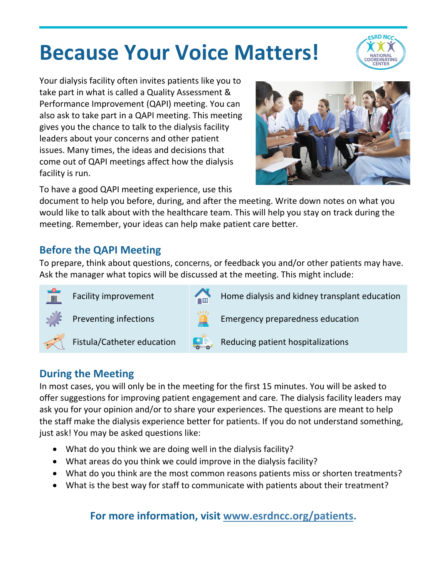# **Because Your Voice Matters!**



Your dialysis facility often invites patients like you to take part in what is called a Quality Assessment & Performance Improvement (QAPI) meeting. You can also ask to take part in a QAPI meeting. This meeting gives you the chance to talk to the dialysis facility leaders about your concerns and other patient issues. Many times, the ideas and decisions that come out of QAPI meetings affect how the dialysis facility is run.



To have a good QAPI meeting experience, use this

document to help you before, during, and after the meeting. Write down notes on what you would like to talk about with the healthcare team. This will help you stay on track during the meeting. Remember, your ideas can help make patient care better.

## **Before the QAPI Meeting**

To prepare, think about questions, concerns, or feedback you and/or other patients may have. Ask the manager what topics will be discussed at the meeting. This might include:





Facility improvement  $H_{\text{min}}$  Home dialysis and kidney transplant education

Preventing infections  $\blacksquare$  Emergency preparedness education





Fistula/Catheter education  $R$ , Reducing patient hospitalizations

# **During the Meeting**

In most cases, you will only be in the meeting for the first 15 minutes. You will be asked to offer suggestions for improving patient engagement and care. The dialysis facility leaders may ask you for your opinion and/or to share your experiences. The questions are meant to help the staff make the dialysis experience better for patients. If you do not understand something, just ask! You may be asked questions like:

- What do you think we are doing well in the dialysis facility?
- What areas do you think we could improve in the dialysis facility?
- What do you think are the most common reasons patients miss or shorten treatments?
- What is the best way for staff to communicate with patients about their treatment?

**For more information, visit [www.esrdncc.org/patients.](http://www.esrdncc.org/patients)**